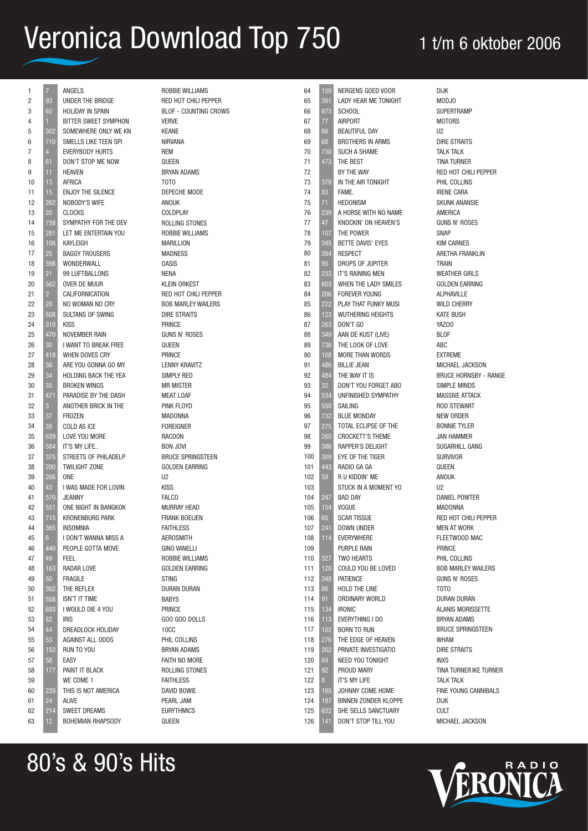| 1              | 7 <sup>7</sup>  | ANGELS                          | ROBBIE WILLIAMS              | 64  | 159 | <b>NERGE</b>      |
|----------------|-----------------|---------------------------------|------------------------------|-----|-----|-------------------|
| $\overline{c}$ | 93              | UNDER THE BRIDGE                | RED HOT CHILI PEPPER         | 65  | 391 | LADY <b>H</b>     |
| 3              | 60              | <b>HOLIDAY IN SPAIN</b>         | <b>BLOF - COUNTING CROWS</b> | 66  | 673 | SCHOO             |
| 4              | 1.              | BITTER SWEET SYMPHON            | <b>VERVE</b>                 | 67  | 77  | <b>AIRPOF</b>     |
| 5              | 302             | SOMEWHERE ONLY WE KN            | <b>KEANE</b>                 | 68  | 66  | <b>BEAUT</b>      |
| 6              | 710             | SMELLS LIKE TEEN SPI            | <b>NIRVANA</b>               | 69  | 68  | <b>BROTH</b>      |
| 7              | $\overline{4}$  | <b>EVERYBODY HURTS</b>          | <b>REM</b>                   | 70  | 730 | SUCH A            |
| 8              | 61              | DON'T STOP ME NOW               | QUEEN                        | 71  | 473 | THE BE            |
| 9              | 11              | <b>HEAVEN</b>                   | <b>BRYAN ADAMS</b>           | 72  |     | BY THE            |
| 10             | 13              | AFRICA                          | TOTO                         | 73  | 378 | IN THE            |
| 11             | 15              | <b>ENJOY THE SILENCE</b>        | DEPECHE MODE                 | 74  | 83  | FAME.             |
| 12             | 262             | NOBODY'S WIFE                   | ANOUK                        | 75  | 71  | <b>HEDON</b>      |
| 13             | 20              | <b>CLOCKS</b>                   | COLDPLAY                     | 76  | 239 | A HORS            |
| 14             | 738             | SYMPATHY FOR THE DEV            | ROLLING STONES               | 77  | 47  | KNOCK             |
| 15             | 281             | LET ME ENTERTAIN YOU            | ROBBIE WILLIAMS              | 78  | 107 | THE PO            |
| 16             | 106             | KAYLEIGH                        | <b>MARILLION</b>             | 79  | 345 | <b>BETTE</b>      |
| 17             | 25              | <b>BAGGY TROUSERS</b>           | <b>MADNESS</b>               | 80  | 394 | <b>RESPE</b>      |
| 18             | 398             | WONDERWALL                      | <b>OASIS</b>                 | 81  | 95  | <b>DROPS</b>      |
| 19             | 21              | 99 LUFTBALLONS                  | <b>NENA</b>                  | 82  | 233 | IT'S RA           |
| 20             | 562             | OVER DE MUUR                    | <b>KLEIN ORKEST</b>          | 83  | 603 | <b>WHEN</b>       |
| 21             | $2^{\circ}$     | CALIFORNICATION                 | RED HOT CHILI PEPPER         | 84  | 206 | <b>FOREVI</b>     |
| 22             | 28              | NO WOMAN NO CRY                 | <b>BOB MARLEY WAILERS</b>    | 85  | 222 | <b>PLAY T</b>     |
|                |                 |                                 | <b>DIRE STRAITS</b>          |     |     |                   |
| 23             | 508             | SULTANS OF SWING<br><b>KISS</b> |                              | 86  | 123 | <b>WUTHE</b>      |
| 24             | 310             |                                 | <b>PRINCE</b>                | 87  | 263 | DON'T             |
| 25             | 470             | NOVEMBER RAIN                   | <b>GUNS N' ROSES</b>         | 88  | 349 | AAN DE            |
| 26             | 30 <sup>°</sup> | I WANT TO BREAK FREE            | QUEEN                        | 89  | 736 | THE LC            |
| 27             | 418             | WHEN DOVES CRY                  | PRINCE                       | 90  | 108 | MORE <sup>-</sup> |
| 28             | 36              | ARE YOU GONNA GO MY             | <b>LENNY KRAVITZ</b>         | 91  | 486 | <b>BILLIE</b>     |
| 29             | 34              | HOLDING BACK THE YEA            | SIMPLY RED                   | 92  | 484 | THE W             |
| 30             | 35              | <b>BROKEN WINGS</b>             | <b>MR MISTER</b>             | 93  | 32  | DON'T             |
| 31             | 471             | PARADISE BY THE DASH            | <b>MEAT LOAF</b>             | 94  | 534 | <b>UNFINI</b>     |
| 32             | 5 <sup>1</sup>  | ANOTHER BRICK IN THE            | PINK FLOYD                   | 95  | 550 | <b>SAILIN</b>     |
| 33             | 37              | <b>FROZEN</b>                   | <b>MADONNA</b>               | 96  | 732 | <b>BLUE N</b>     |
| 34             | 39              | COLD AS ICE                     | <b>FOREIGNER</b>             | 97  | 275 | <b>TOTAL</b>      |
| 35             | 639             | LOVE YOU MORE                   | <b>RACOON</b>                | 98  | 260 | <b>CROCK</b>      |
| 36             | 584             | IT'S MY LIFE                    | <b>BON JOVI</b>              | 99  | 386 | <b>RAPPEI</b>     |
| 37             | 375             | STREETS OF PHILADELP            | <b>BRUCE SPRINGSTEEN</b>     | 100 | 309 | EYE OF            |
| 38             | 200             | <b>TWILIGHT ZONE</b>            | <b>GOLDEN EARRING</b>        | 101 | 443 | <b>RADIO</b>      |
| 39             | 266             | <b>ONE</b>                      | U <sub>2</sub>               | 102 | 59  | R U KID           |
| 40             | 43              | I WAS MADE FOR LOVIN            | <b>KISS</b>                  | 103 |     | <b>STUCK</b>      |
| 41             | 570             | <b>JEANNY</b>                   | <b>FALCO</b>                 | 104 | 247 | BAD D/            |
| 42             | 551             | ONE NIGHT IN BANGKOK            | <b>MURRAY HEAD</b>           | 105 | 154 | <b>VOGUE</b>      |
| 43             | 715             | <b>KRONENBURG PARK</b>          | <b>FRANK BOEIJEN</b>         | 106 | 65  | <b>SCART</b>      |
| 44             | 365             | <b>INSOMNIA</b>                 | <b>FAITHLESS</b>             | 107 | 241 | <b>DOWN</b>       |
| 45             | 6 <sup>1</sup>  | I DON'T WANNA MISS A            | AEROSMITH                    | 108 | 114 | <b>EVERY\</b>     |
| 46             | 440             | PEOPLE GOTTA MOVE               | <b>GINO VANELLI</b>          | 109 |     | <b>PURPLI</b>     |
| 47             | 49              | FEEL                            | ROBBIE WILLIAMS              | 110 | 327 | TWO H             |
| 48             | 163             | <b>RADAR LOVE</b>               | <b>GOLDEN EARRING</b>        | 111 | 120 | COULD             |
| 49             | 50              | <b>FRAGILE</b>                  | <b>STING</b>                 | 112 | 348 | <b>PATIEN</b>     |
| 50             | 362             | THE REFLEX                      | <b>DURAN DURAN</b>           | 113 | 86  | HOLD <sub>1</sub> |
| 51             | 558             | <b>ISN'T IT TIME</b>            | <b>BABYS</b>                 | 114 | 91  | <b>ORDIN</b>      |
| 52             | 693             | I WOULD DIE 4 YOU               | <b>PRINCE</b>                | 115 | 134 | <b>IRONIC</b>     |
| 53             | 82              | <b>IRIS</b>                     | GOO GOO DOLLS                | 116 | 113 | <b>EVERY</b>      |
| 54             | 44              | DREADLOCK HOLIDAY               | 10CC                         | 117 | 102 | <b>BORN</b>       |
| 55             | 53              | <b>AGAINST ALL ODDS</b>         | PHIL COLLINS                 | 118 | 276 | THE ED            |
| 56             | 152             | RUN TO YOU                      | <b>BRYAN ADAMS</b>           | 119 | 202 | <b>PRIVAT</b>     |
| 57             | 58              | EASY                            | FAITH NO MORE                | 120 | 64  | NEED Y            |
| 58             | 177             | PAINT IT BLACK                  | ROLLING STONES               | 121 | 92  | <b>PROUD</b>      |
|                |                 | WE COME 1                       |                              |     |     | IT'S MY           |
| 59             |                 |                                 | <b>FAITHLESS</b>             | 122 | 8   |                   |
| 60             | 235             | THIS IS NOT AMERICA             | DAVID BOWIE                  | 123 | 165 | <b>JOHNN</b>      |
| 61             | 24              | ALIVE                           | PEARL JAM                    | 124 | 197 | <b>BINNEN</b>     |
| 62             | 214             | <b>SWEET DREAMS</b>             | <b>EURYTHMICS</b>            | 125 | 632 | SHE SE            |
| 63             | 12 <sub>2</sub> | BOHEMIAN RHAPSODY               | QUEEN                        | 126 | 141 | DON'T             |

NS GOED VOOR **HEAR ME TONIGHT** SCHOOL RT. BELL DAY **IERS IN ARMS** A SHAME  $ST$ : WAY AIR TONIGHT HEDONISM SE WITH NO NAME IN' ON HEAVEN'S )WER DAVIS' EYES CT OF JUPITER **INING MEN** THE LADY SMILES **ER YOUNG** HAT FUNKY MUSI FRING HFIGHTS DON'T GO E KUST (LIVE) OK OF LOVE THAN WORDS JEAN AY IT IS YOU FORGET ABO SHED SYMPATHY G **MONDAY** ECLIPSE OF THE **KETT'S THEME** R'S DELIGHT THE TIGER  $GAGA$ DDIN' ME IN A MOMENT YO AY **TISSUE INDER** WHERE **E RAIN IFARTS** YOU BE LOVED CE THE LINE ARY WORLD THING I DO TO RUN OGE OF HEAVEN **E INVESTIGATIO** YOU TONIGHT **MARY** Y I IFF JY COME HOME N ZONDER KLOPPE FI I S SANCTUARY STOP TILL YOU DIJK  $112$ ABC U2 INXS DIJK **CULT** 

MOD.IO SUPERTRAMP **MOTORS** DIRE STRAITS TAI K TAI K TINA TURNER RED HOT CHILI PEPPER PHIL COLLINS IRENE CARA SKUNK ANANSIE AMERICA GUNS N' ROSES SNAP KIM CARNES ARETHA FRANKLIN TRAIN WEATHER GIRLS GOLDEN EARRING ALPHAVILLE WILD CHERRY KATE BUSH YAZOO BLOF EXTREME MICHAEL JACKSON BRUCE HORNSBY - RANGE SIMPLE MINDS MASSIVE ATTACK ROD STEWART NEW ORDER BONNIE TYLER JAN HAMMER SUGARHILL GANG SURVIVOR **OUEEN** ANOUK DANIEL POWTER MADONNA RED HOT CHILI PEPPER MEN AT WORK FLEETWOOD MAC PRINCE PHIL COLLINS BOB MARLEY WAILERS GUNS N' ROSES TOTO DURAN DURAN ALANIS MORISSETTE BRYAN ADAMS BRUCE SPRINGSTEEN WHAM DIRE STRAITS TINA TURNER IKE TURNER TAI K TAI K FINE YOUNG CANNIBALS MICHAEL JACKSON



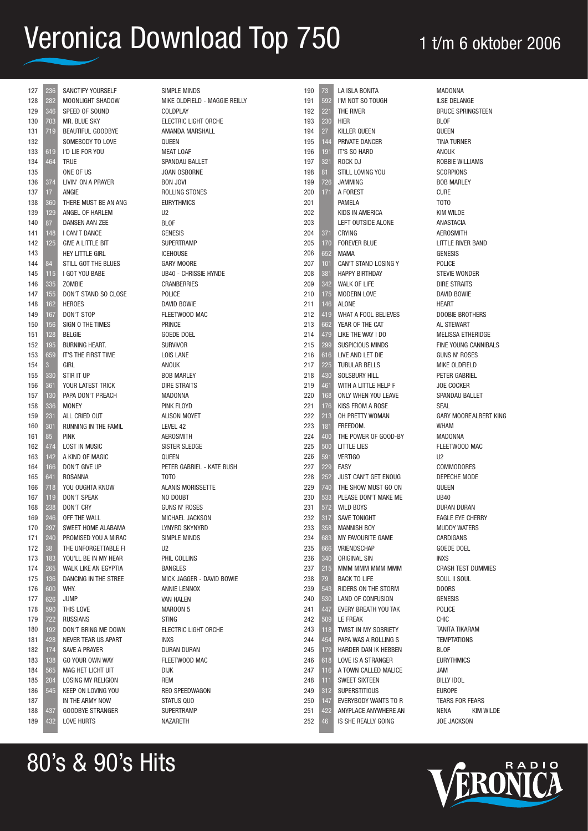| 127        | 236             | SANCTIFY YOURSELF                     |
|------------|-----------------|---------------------------------------|
| 128        | 282             | MOONLIGHT SHADOW                      |
| 129        | 346             | SPEED OF SOUND                        |
| 130        | 703             | <b>MR. BLUE SKY</b>                   |
| 131        | 719             | <b>BEAUTIFUL GOODBYE</b>              |
| 132        |                 | SOMEBODY TO LOVE                      |
| 133        | 619             | I'D LIE FOR YOU                       |
| 134        | 464             | TRUE                                  |
| 135        |                 | ONE OF US                             |
| 136        | 374             | LIVIN' ON A PRAYER                    |
| 137        | 17              | ANGIE                                 |
| 138        | 360             | THERE MUST BE AN ANG                  |
| 139        | 129             | ANGEL OF HARLEM                       |
| 140        | 87              | <b>DANSEN AAN ZEE</b>                 |
| 141        | 148             | I CAN'T DANCE                         |
| 142        | 125             | <b>GIVE A LITTLE BIT</b>              |
| 143        |                 | <b>HEY LITTLE GIRL</b>                |
| 144        | 84              | STILL GOT THE BLUES                   |
| 145        | 115             | I GOT YOU BABE                        |
| 146        | 335             | <b>ZOMBIE</b>                         |
| 147        | 155             | DON'T STAND SO CLOSE                  |
| 148        | 162             | <b>HEROES</b>                         |
| 149        | 167             | <b>DON'T STOP</b>                     |
| 150        | 156             | SIGN O THE TIMES                      |
| 151        | 128             | <b>BELGIE</b>                         |
| 152        | 195             | <b>BURNING HEART.</b>                 |
| 153        | 659             | IT'S THE FIRST TIME                   |
| 154        | 3               | GIRL                                  |
| 155        | 330             | STIR IT UP                            |
| 156        | 361             | YOUR LATEST TRICK                     |
| 157        | 130             | PAPA DON'T PREACH                     |
| 158        | 336             | <b>MONEY</b>                          |
| 159        | 231             | ALL CRIED OUT                         |
| 160        | 301             | <b>RUNNING IN THE FAMIL</b>           |
| 161        | 85              | <b>PINK</b>                           |
| 162        | 474             | <b>LOST IN MUSIC</b>                  |
| 163        | 142             | A KIND OF MAGIC                       |
| 164        | 166             | DON'T GIVE UP                         |
| 165        | 641             | ROSANNA                               |
| 166        | 718             | YOU OUGHTA KNOW                       |
| 167        | 119             | <b>DON'T SPEAK</b>                    |
| 168        | 238             | <b>DON'T CRY</b>                      |
| 169        | 246             | OFF THE WALL                          |
| 170        | $\frac{1}{297}$ | SWEET HOME ALABAMA                    |
| 171        | 240             | PROMISED YOU A MIRAC                  |
| 172        | 38              | THE UNFORGETTABLE FI                  |
| 173        | 183             | YOU'LL BE IN MY HEAR                  |
| 174        | 265             | WALK LIKE AN EGYPTIA                  |
| 175        | 136             | DANCING IN THE STREE                  |
| 176        | 600             | WHY.                                  |
| 177        | 626             | <b>JUMP</b>                           |
| 178        | 590             | THIS LOVE                             |
|            | 722             | <b>RUSSIANS</b>                       |
| 179<br>180 | 192             | DON'T BRING ME DOWN                   |
| 181        |                 | NEVER TEAR US APART                   |
|            | 428             | SAVE A PRAYER                         |
| 182<br>183 | 174             | GO YOUR OWN WAY                       |
|            | 138             | <b>MAG HET LICHT UIT</b>              |
| 184        | 565             |                                       |
| 185        | 204             | <b>LOSING MY RELIGION</b>             |
| 186        | 545             | KEEP ON LOVING YOU<br>IN THE ARMY NOW |
| 187        |                 | <b>GOODBYE STRANGER</b>               |
| 188<br>189 | 437<br>432      | I OVE HURTS                           |
|            |                 |                                       |

80's & 90's Hits

432 LOVE HURTS

NAZARETH

| SIMPLE MINDS                  |  |
|-------------------------------|--|
| MIKE OLDFIELD - MAGGIE REILLY |  |
| <b>COLDPLAY</b>               |  |
| ELECTRIC LIGHT ORCHE          |  |
| <b>AMANDA MARSHALL</b>        |  |
| QUEEN                         |  |
| <b>MEAT LOAF</b>              |  |
| SPANDAU BALLET                |  |
| <b>JOAN OSBORNE</b>           |  |
| <b>BON JOVI</b>               |  |
| ROLLING STONES                |  |
| <b>EURYTHMICS</b>             |  |
| U <sub>2</sub>                |  |
| <b>BLOF</b>                   |  |
| <b>GENESIS</b>                |  |
| <b>SUPERTRAMP</b>             |  |
| <b>ICEHOUSE</b>               |  |
| <b>GARY MOORE</b>             |  |
| <b>UB40 - CHRISSIE HYNDE</b>  |  |
| <b>CRANBERRIES</b>            |  |
| POLICE                        |  |
| <b>DAVID BOWIE</b>            |  |
| FLEETWOOD MAC                 |  |
| PRINCE                        |  |
| <b>GOEDE DOEL</b>             |  |
| <b>SURVIVOR</b>               |  |
| <b>LOIS LANE</b>              |  |
| <b>ANOUK</b>                  |  |
| <b>BOB MARLEY</b>             |  |
| <b>DIRE STRAITS</b>           |  |
| <b>MADONNA</b>                |  |
| PINK FLOYD                    |  |
| <b>ALISON MOYET</b>           |  |
| LEVEL 42                      |  |
| <b>AEROSMITH</b>              |  |
| <b>SISTER SLEDGE</b>          |  |
| QUEEN                         |  |
| PETER GABRIEL - KATE BUSH     |  |
| TOTO                          |  |
| <b>ALANIS MORISSETTE</b>      |  |
| NO DOUBT                      |  |
| <b>GUNS N' ROSES</b>          |  |
| MICHAEL JACKSON               |  |
| LYNYRD SKYNYRD                |  |
| <b>SIMPLE MINDS</b>           |  |
| U <sub>2</sub>                |  |
| PHIL COLLINS                  |  |
| <b>BANGLES</b>                |  |
| MICK JAGGER - DAVID BOWIE     |  |
| <b>ANNIE LENNOX</b>           |  |
| <b>VAN HALEN</b>              |  |
| MAROON 5                      |  |
| <b>STING</b>                  |  |
| <b>ELECTRIC LIGHT ORCHE</b>   |  |
| <b>INXS</b>                   |  |
| <b>DURAN DURAN</b>            |  |
| FLEETWOOD MAC                 |  |
| <b>DIJK</b>                   |  |
| REM                           |  |
| REO SPEEDWAGON                |  |
| STATUS QUO                    |  |
| <b>SUPERTRAMP</b>             |  |

| 190 | 73              | LA ISLA BONITA              |
|-----|-----------------|-----------------------------|
|     |                 |                             |
| 191 | 592             | I'M NOT SO TOUGH            |
| 192 | 221             | THE RIVER                   |
| 193 | 230             | HIER                        |
| 194 | 27              | <b>KILLER QUEEN</b>         |
| 195 | 144             | PRIVATE DANCER              |
| 196 | 191             | IT'S SO HARD                |
| 197 | 321             | ROCK DJ                     |
| 198 | 81              | STILL LOVING YOU            |
| 199 | 726             | <b>JAMMING</b>              |
|     |                 | A FOREST                    |
| 200 | 171             |                             |
| 201 |                 | PAMELA                      |
| 202 |                 | KIDS IN AMERICA             |
| 203 |                 | LEFT OUTSIDE ALONE          |
| 204 | 371             | CRYING                      |
| 205 | 170             | <b>FOREVER BLUE</b>         |
| 206 | 652             | <b>MAMA</b>                 |
| 207 | 101             | CAN'T STAND LOSING Y        |
| 208 | 381             | <b>HAPPY BIRTHDAY</b>       |
| 209 | 342             | <b>WALK OF LIFE</b>         |
| 210 |                 | <b>MODERN LOVE</b>          |
|     | 175             |                             |
| 211 | 146             | <b>ALONE</b>                |
| 212 | 419             | <b>WHAT A FOOL BELIEVES</b> |
| 213 | 662             | YEAR OF THE CAT             |
| 214 | 479             | LIKE THE WAY I DO           |
| 215 | 299             | SUSPICIOUS MINDS            |
| 216 | 616             | LIVE AND LET DIE            |
| 217 | 225             | <b>TUBULAR BELLS</b>        |
| 218 | 430             | SOLSBURY HILL               |
| 219 | 461             | WITH A LITTLE HELP F        |
| 220 | 168             | ONLY WHEN YOU LEAVE         |
| 221 |                 | KISS FROM A ROSE            |
|     | 176             |                             |
| 222 | 213             | OH PRETTY WOMAN             |
| 223 | 181             | FREEDOM.                    |
| 224 | 400             | THE POWER OF GOOD-BY        |
| 225 | 500             | <b>LITTLE LIES</b>          |
| 226 | 591             | <b>VERTIGO</b>              |
| 227 | 229             | <b>EASY</b>                 |
| 228 | 252             | JUST CAN'T GET ENOUG        |
| 229 | 740             | THE SHOW MUST GO ON         |
| 230 | 533             | PLEASE DON'T MAKE ME        |
| 231 | 572             | <b>WILD BOYS</b>            |
|     |                 |                             |
| 232 | 317             | <b>SAVE TONIGHT</b>         |
| 233 | 358             | <b>MANNISH BOY</b>          |
| 234 | 683             | MY FAVOURITE GAME           |
| 235 | 666             | <b>VRIENDSCHAP</b>          |
| 236 | 340             | ORIGINAL SIN                |
| 237 | 215             | MMM MMM MMM MMM             |
| 238 | 79              | <b>BACK TO LIFE</b>         |
| 239 | 543             | RIDERS ON THE STORM         |
| 240 | 530             | LAND OF CONFUSION           |
| 241 | 447             | EVERY BREATH YOU TAK        |
| 242 | 509             | LE FREAK                    |
|     |                 |                             |
| 243 | 118             | TWIST IN MY SOBRIETY        |
| 244 | 454             | PAPA WAS A ROLLING S        |
| 245 | 179             | HARDER DAN IK HEBBEN        |
| 246 | 618             | LOVE IS A STRANGER          |
| 247 | 116             | A TOWN CALLED MALICE        |
| 248 | 111             | <b>SWEET SIXTEEN</b>        |
| 249 | 312             | <b>SUPERSTITIOUS</b>        |
| 250 | 147             | EVERYBODY WANTS TO R        |
| 251 | 422             | ANYPLACE ANYWHERE AN        |
| 252 | $\overline{46}$ | IS SHE REALLY GOING         |
|     |                 |                             |

MADONNA ILSE DELANGE BRUCE SPRINGSTEEN BLOF **QUEEN** TINA TURNER ANOUK ROBBIE WILLIAMS SCORPIONS BOB MARLEY CURE TOTO KIM WILDE ANASTACIA AEROSMITH LITTLE RIVER BAND GENESIS POLICE STEVIE WONDER DIRE STRAITS DAVID BOWIE HEART DOOBIE BROTHERS AL STEWART MELISSA ETHERIDGE FINE YOUNG CANNIBALS GUNS N' ROSES MIKE OLDFIELD PETER GABRIEL JOE COCKER SPANDAU BALLET SEAL GARY MOOREALBERT KING WHAM MADONNA FLEETWOOD MAC U2 COMMODORES DEPECHE MODE QUEEN UB40 DURAN DURAN EAGLE EYE CHERRY MUDDY WATERS CARDIGANS GOEDE DOEL INXS CRASH TEST DUMMIES SOUL II SOUL DOORS GENESIS POLICE CHIC TANITA TIKARAM **TEMPTATIONS** BLOF EURYTHMICS JAM BILLY IDOL EUROPE TEARS FOR FEARS NENA KIM WILDE JOE JACKSON

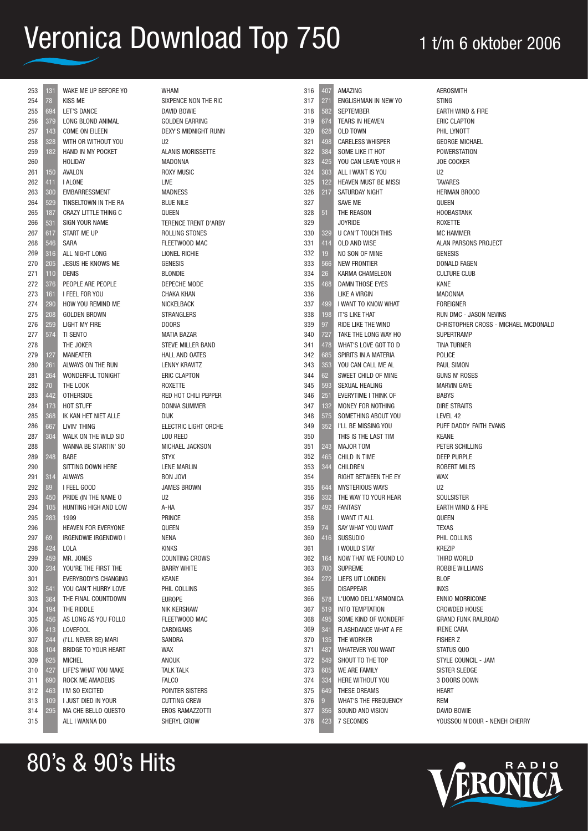| 253 | 131 | WAKE ME UP BEFORE YO                                | <b>WHAM</b>              | 316        | 407         | AMAZING                     | <b>AEROSMITH</b>                     |
|-----|-----|-----------------------------------------------------|--------------------------|------------|-------------|-----------------------------|--------------------------------------|
| 254 | 78  | <b>KISS ME</b>                                      | SIXPENCE NON THE RIC     | 317        | 271         | ENGLISHMAN IN NEW YO        | <b>STING</b>                         |
| 255 | 694 | LET'S DANCE                                         | DAVID BOWIE              | 318        | 582         | <b>SEPTEMBER</b>            | EARTH WIND & FIRE                    |
| 256 | 379 | LONG BLOND ANIMAL                                   | GOLDEN EARRING           | 319        | 674         | TEARS IN HEAVEN             | <b>ERIC CLAPTON</b>                  |
| 257 | 143 | COME ON EILEEN                                      | DEXY'S MIDNIGHT RUNN     | 320        | 628         | <b>OLD TOWN</b>             | PHIL LYNOTT                          |
| 258 | 328 | WITH OR WITHOUT YOU                                 | U <sub>2</sub>           | 321        | 498         | <b>CARELESS WHISPER</b>     | <b>GEORGE MICHAEL</b>                |
| 259 | 182 | HAND IN MY POCKET                                   | <b>ALANIS MORISSETTE</b> | 322        | 384         | SOME LIKE IT HOT            | POWERSTATION                         |
| 260 |     | HOLIDAY                                             | <b>MADONNA</b>           | 323        | 425         | YOU CAN LEAVE YOUR H        | <b>JOE COCKER</b>                    |
| 261 | 150 | AVALON                                              | <b>ROXY MUSIC</b>        | 324        | 303         | ALL I WANT IS YOU           | U <sub>2</sub>                       |
| 262 | 411 | I ALONE                                             | <b>LIVE</b>              | 325        | 122         | HEAVEN MUST BE MISSI        | <b>TAVARES</b>                       |
| 263 | 300 | <b>EMBARRESSMENT</b>                                | <b>MADNESS</b>           | 326        | 217         | SATURDAY NIGHT              | <b>HERMAN BROOD</b>                  |
| 264 | 529 | TINSELTOWN IN THE RA                                | <b>BLUE NILE</b>         | 327        |             | SAVE ME                     | QUEEN                                |
| 265 | 187 | CRAZY LITTLE THING C                                | QUEEN                    | 328        | 51          | THE REASON                  | <b>HOOBASTANK</b>                    |
| 266 | 531 | SIGN YOUR NAME                                      | TERENCE TRENT D'ARBY     | 329        |             | <b>JOYRIDE</b>              | ROXETTE                              |
|     | 617 | START ME UP                                         | ROLLING STONES           | 330        |             | U CAN'T TOUCH THIS          | <b>MC HAMMER</b>                     |
| 267 | 546 | <b>SARA</b>                                         |                          | 331        | 329         |                             |                                      |
| 268 |     |                                                     | FLEETWOOD MAC            |            | 414         | OLD AND WISE                | ALAN PARSONS PROJECT                 |
| 269 | 316 | ALL NIGHT LONG                                      | LIONEL RICHIE            | 332        | 19          | NO SON OF MINE              | <b>GENESIS</b>                       |
| 270 | 205 | JESUS HE KNOWS ME                                   | <b>GENESIS</b>           | 333        | 566         | <b>NEW FRONTIER</b>         | DONALD FAGEN                         |
| 271 | 110 | <b>DENIS</b>                                        | <b>BLONDIE</b>           | 334        | 26          | <b>KARMA CHAMELEON</b>      | <b>CULTURE CLUB</b>                  |
| 272 | 376 | PEOPLE ARE PEOPLE                                   | DEPECHE MODE             | 335        | 468         | DAMN THOSE EYES             | <b>KANE</b>                          |
| 273 | 161 | I FEEL FOR YOU                                      | <b>CHAKA KHAN</b>        | 336        |             | LIKE A VIRGIN               | MADONNA                              |
| 274 | 290 | HOW YOU REMIND ME                                   | <b>NICKELBACK</b>        | 337        | 499         | I WANT TO KNOW WHAT         | <b>FOREIGNER</b>                     |
| 275 | 208 | <b>GOLDEN BROWN</b>                                 | <b>STRANGLERS</b>        | 338        | 198         | IT'S LIKE THAT              | RUN DMC - JASON NEVINS               |
| 276 | 259 | <b>LIGHT MY FIRE</b>                                | <b>DOORS</b>             | 339        | 97          | RIDE LIKE THE WIND          | CHRISTOPHER CROSS - MICHAEL MCDONALD |
| 277 | 574 | TI SENTO                                            | <b>MATIA BAZAR</b>       | 340        | 727         | TAKE THE LONG WAY HO        | <b>SUPERTRAMP</b>                    |
| 278 |     | THE JOKER                                           | STEVE MILLER BAND        | 341        | 478         | WHAT'S LOVE GOT TO D        | <b>TINA TURNER</b>                   |
| 279 | 127 | <b>MANEATER</b>                                     | <b>HALL AND OATES</b>    | 342        | 685         | SPIRITS IN A MATERIA        | POLICE                               |
| 280 | 261 | ALWAYS ON THE RUN                                   | LENNY KRAVITZ            | 343        | 353         | YOU CAN CALL ME AL          | PAUL SIMON                           |
| 281 | 264 | WONDERFUL TONIGHT                                   | ERIC CLAPTON             | 344        | 62          | SWEET CHILD OF MINE         | GUNS N' ROSES                        |
| 282 | 70  | THE LOOK                                            | ROXETTE                  | 345        | 593         | SEXUAL HEALING              | <b>MARVIN GAYE</b>                   |
| 283 | 442 | <b>OTHERSIDE</b>                                    | RED HOT CHILI PEPPER     | 346        | 251         | EVERYTIME I THINK OF        | <b>BABYS</b>                         |
| 284 | 173 | HOT STUFF                                           | DONNA SUMMER             | 347        | 132         | MONEY FOR NOTHING           | <b>DIRE STRAITS</b>                  |
| 285 | 368 | IK KAN HET NIET ALLE                                | <b>DIJK</b>              | 348        | 575         | SOMETHING ABOUT YOU         | LEVEL 42                             |
| 286 | 667 | LIVIN' THING                                        | ELECTRIC LIGHT ORCHE     | 349        | 352         | I'LL BE MISSING YOU         | PUFF DADDY FAITH EVANS               |
| 287 | 304 | WALK ON THE WILD SID                                | LOU REED                 | 350        |             | THIS IS THE LAST TIM        | <b>KEANE</b>                         |
| 288 |     | WANNA BE STARTIN' SO                                | MICHAEL JACKSON          | 351        | 243         | <b>MAJOR TOM</b>            | PETER SCHILLING                      |
| 289 | 248 | <b>BABE</b>                                         | <b>STYX</b>              | 352        | 465         | CHILD IN TIME               | <b>DEEP PURPLE</b>                   |
| 290 |     | SITTING DOWN HERE                                   | <b>LENE MARLIN</b>       | 353        | 344         | CHILDREN                    | <b>ROBERT MILES</b>                  |
| 291 | 314 | <b>ALWAYS</b>                                       | <b>BON JOVI</b>          | 354        |             | RIGHT BETWEEN THE EY        | <b>WAX</b>                           |
| 292 | 89  | I FEEL GOOD                                         | <b>JAMES BROWN</b>       | 355        | 644         | <b>MYSTERIOUS WAYS</b>      | U <sub>2</sub>                       |
| 293 | 450 | PRIDE (IN THE NAME O                                | U <sub>2</sub>           | 356        | 332         | THE WAY TO YOUR HEAR        | <b>SOULSISTER</b>                    |
| 294 | 105 | HUNTING HIGH AND LOW                                | A-HA                     | 357        | 492         | <b>FANTASY</b>              | EARTH WIND & FIRE                    |
| 295 | 283 | 1999                                                | PRINCE                   | 358        |             | I WANT IT ALL               | QUEEN                                |
| 296 |     | HEAVEN FOR EVERYONE                                 | QUEEN                    | 359        | 74          | SAY WHAT YOU WANT           | <b>TEXAS</b>                         |
| 297 | 69  | IRGENDWIE IRGENDWO I                                | <b>NENA</b>              | 360        | 416         | <b>SUSSUDIO</b>             | PHIL COLLINS                         |
| 298 | 424 | LOLA                                                | <b>KINKS</b>             | 361        |             | I WOULD STAY                | <b>KREZIP</b>                        |
| 299 | 459 | MR. JONES                                           | <b>COUNTING CROWS</b>    | 362        | 164         | NOW THAT WE FOUND LO        | THIRD WORLD                          |
| 300 | 234 | YOU'RE THE FIRST THE                                | <b>BARRY WHITE</b>       | 363        | 700         | <b>SUPREME</b>              | ROBBIE WILLIAMS                      |
| 301 |     | EVERYBODY'S CHANGING                                | KEANE                    | 364        | 272         | LIEFS UIT LONDEN            | <b>BLOF</b>                          |
| 302 | 541 | YOU CAN'T HURRY LOVE                                | PHIL COLLINS             | 365        |             | <b>DISAPPEAR</b>            | <b>INXS</b>                          |
| 303 | 364 | THE FINAL COUNTDOWN                                 | <b>EUROPE</b>            | 366        | 578         | L'UOMO DELL'ARMONICA        | <b>ENNIO MORRICONE</b>               |
| 304 | 194 | THE RIDDLE                                          | NIK KERSHAW              | 367        | 519         | <b>INTO TEMPTATION</b>      | CROWDED HOUSE                        |
| 305 | 456 | AS LONG AS YOU FOLLO                                | FLEETWOOD MAC            | 368        | 495         | SOME KIND OF WONDERF        | <b>GRAND FUNK RAILROAD</b>           |
| 306 |     | LOVEFOOL                                            | CARDIGANS                | 369        | 341         | <b>FLASHDANCE WHAT A FE</b> | <b>IRENE CARA</b>                    |
|     | 413 |                                                     |                          |            |             |                             |                                      |
| 307 | 244 | (I'LL NEVER BE) MARI<br><b>BRIDGE TO YOUR HEART</b> | SANDRA                   | 370<br>371 | 135<br>487  | THE WORKER                  | <b>FISHER Z</b><br>STATUS QUO        |
| 308 | 104 |                                                     | <b>WAX</b>               |            |             | WHATEVER YOU WANT           |                                      |
| 309 | 625 | <b>MICHEL</b>                                       | ANOUK                    | 372        | 549         | SHOUT TO THE TOP            | STYLE COUNCIL - JAM                  |
| 310 | 427 | LIFE'S WHAT YOU MAKE                                | <b>TALK TALK</b>         | 373        | 605         | WE ARE FAMILY               | SISTER SLEDGE                        |
| 311 | 690 | ROCK ME AMADEUS                                     | <b>FALCO</b>             | 374        | 334         | HERE WITHOUT YOU            | 3 DOORS DOWN                         |
| 312 | 463 | I'M SO EXCITED                                      | POINTER SISTERS          | 375        | 649         | THESE DREAMS                | HEART                                |
| 313 | 109 | I JUST DIED IN YOUR                                 | <b>CUTTING CREW</b>      | 376        | $9^{\circ}$ | <b>WHAT'S THE FREQUENCY</b> | <b>REM</b>                           |
| 314 | 295 | MA CHE BELLO QUESTO                                 | EROS RAMAZZOTTI          | 377        | 356         | SOUND AND VISION            | DAVID BOWIE                          |
| 315 |     | ALL I WANNA DO                                      | SHERYL CROW              | 378        | 423         | 7 SECONDS                   | YOUSSOU N'DOUR - NENEH CHERRY        |
|     |     |                                                     |                          |            |             |                             |                                      |

### 80's & 90's Hits

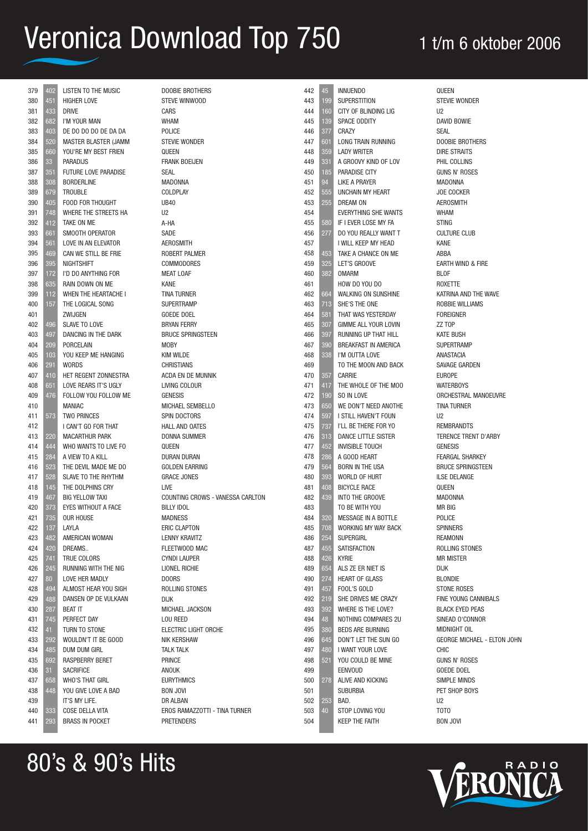| 379        | 402             | <b>LISTEN TO THE MUSIC</b>            | <b>DOOBIE BROTHERS</b>             |
|------------|-----------------|---------------------------------------|------------------------------------|
| 380        | 451             | <b>HIGHER LOVE</b>                    | STEVE WINWOOD                      |
| 381        | 433             | <b>DRIVE</b>                          | <b>CARS</b>                        |
| 382        | 682             | I'M YOUR MAN                          | <b>WHAM</b>                        |
| 383        | 403             | DE DO DO DO DE DA DA                  | POLICE                             |
| 384        | 520             | MASTER BLASTER (JAMM                  | <b>STEVIE WONDER</b>               |
| 385        | 660             | YOU'RE MY BEST FRIEN                  | QUEEN                              |
| 386        | 33              | <b>PARADIJS</b>                       | <b>FRANK BOEIJEN</b>               |
| 387        | 351             | FUTURE LOVE PARADISE                  | <b>SEAL</b>                        |
| 388        | 308             | <b>BORDERLINE</b>                     | <b>MADONNA</b>                     |
| 389        | 679             | <b>TROUBLE</b>                        | <b>COLDPLAY</b>                    |
| 390        | 405             | FOOD FOR THOUGHT                      | <b>UB40</b>                        |
| 391        | 748             | WHERE THE STREETS HA                  | U2                                 |
| 392        | 412             | TAKE ON ME                            | A-HA                               |
| 393        | 661             | SMOOTH OPERATOR                       | SADE                               |
| 394        | 561             | LOVE IN AN ELEVATOR                   | AEROSMITH                          |
| 395        | 469             | CAN WE STILL BE FRIE                  | ROBERT PALMER                      |
| 396        | 395             | <b>NIGHTSHIFT</b>                     | <b>COMMODORES</b>                  |
| 397        | 172             | I'D DO ANYTHING FOR                   | <b>MEAT LOAF</b>                   |
| 398        | 635             | RAIN DOWN ON ME                       | <b>KANE</b>                        |
| 399        | 112             | WHEN THE HEARTACHE I                  | <b>TINA TURNER</b>                 |
| 400        | 157             | THE LOGICAL SONG                      | <b>SUPERTRAMP</b>                  |
| 401        |                 | ZWIJGEN                               | GOEDE DOEL                         |
| 402        | 496             | SLAVE TO LOVE                         | <b>BRYAN FERRY</b>                 |
| 403        | 497             | DANCING IN THE DARK                   | <b>BRUCE SPRINGSTEEN</b>           |
| 404        | 209             | <b>PORCELAIN</b>                      | MOBY                               |
| 405        | 103             | YOU KEEP ME HANGING                   | <b>KIM WILDE</b>                   |
| 406        | 291             | <b>WORDS</b>                          | <b>CHRISTIANS</b>                  |
| 407        | 410             | HET REGENT ZONNESTRA                  | ACDA EN DE MUNNIK                  |
| 408<br>409 | 651             | LOVE REARS IT'S UGLY                  | LIVING COLOUR                      |
| 410        | 476             | FOLLOW YOU FOLLOW ME<br><b>MANIAC</b> | <b>GENESIS</b><br>MICHAEL SEMBELLO |
| 411        |                 | <b>TWO PRINCES</b>                    | SPIN DOCTORS                       |
| 412        | 573             | I CAN'T GO FOR THAT                   | <b>HALL AND OATES</b>              |
| 413        | 220             | MACARTHUR PARK                        | <b>DONNA SUMMER</b>                |
| 414        | 444             | WHO WANTS TO LIVE FO                  | QUEEN                              |
| 415        | 284             | A VIEW TO A KILL                      | DURAN DURAN                        |
| 416        | 523             | THE DEVIL MADE ME DO                  | GOLDEN EARRING                     |
| 417        | 528             | SLAVE TO THE RHYTHM                   | <b>GRACE JONES</b>                 |
| 418        | 145             | THE DOLPHINS CRY                      | <b>LIVE</b>                        |
| 419        | 467             | <b>BIG YELLOW TAXI</b>                | COUNTING CROWS - VANESSA CARLTON   |
| 420        | 373             | EYES WITHOUT A FACE                   | <b>BILLY IDOL</b>                  |
| 421        | 735             | <b>OUR HOUSE</b>                      | <b>MADNESS</b>                     |
| 422        | 137             | LAYLA                                 | <b>ERIC CLAPTON</b>                |
| 423        | 482             | AMERICAN WOMAN                        | LENNY KRAVITZ                      |
| 424        | 420             | DREAMS                                | FLEETWOOD MAC                      |
| 425        | 741             | TRUE COLORS                           | <b>CYNDI LAUPER</b>                |
| 426        | 245             | RUNNING WITH THE NIG                  | LIONEL RICHIE                      |
| 427        | 80 <sup>°</sup> | LOVE HER MADLY                        | <b>DOORS</b>                       |
| 428        | 494             | ALMOST HEAR YOU SIGH                  | ROLLING STONES                     |
| 429        | 488             | DANSEN OP DE VULKAAN                  | <b>DIJK</b>                        |
| 430        | 287             | <b>BEAT IT</b>                        | <b>MICHAEL JACKSON</b>             |
| 431        | 745             | PERFECT DAY                           | LOU REED                           |
| 432        | 41              | TURN TO STONE                         | ELECTRIC LIGHT ORCHE               |
| 433        | 292             | WOULDN'T IT BE GOOD                   | NIK KERSHAW                        |
| 434        | 485             | DUM DUM GIRL                          | <b>TALK TALK</b>                   |
| 435        | 692             | RASPBERRY BERET                       | PRINCE                             |
| 436        | 31              | <b>SACRIFICE</b>                      | ANOUK                              |
| 437        | 658             | <b>WHO'S THAT GIRL</b>                | <b>EURYTHMICS</b>                  |
| 438        | 448             | YOU GIVE LOVE A BAD                   | <b>BON JOVI</b>                    |
| 439        |                 | IT'S MY LIFE.                         | DR ALBAN                           |
| 440        | 333             | COSE DELLA VITA                       | EROS RAMAZZOTTI - TINA TURNER      |
| 441        | 293             | <b>BRASS IN POCKET</b>                | <b>PRETENDERS</b>                  |
|            |                 |                                       |                                    |

| 442        | 45         | <b>INNUENDO</b>                            |                | QUEEN                   |
|------------|------------|--------------------------------------------|----------------|-------------------------|
| 443        | 199        | <b>SUPERSTITION</b>                        |                | <b>STEVIE</b>           |
| 444        | 160        | CITY OF BLINDING LIG                       | U <sub>2</sub> |                         |
| 445        | 139        | SPACE ODDITY                               |                | DAVID                   |
| 446        | 377        | CRAZY                                      | SEAL           |                         |
| 447        | 601        | LONG TRAIN RUNNING                         |                | <b>DOOBII</b>           |
| 448        | 359        | <b>LADY WRITER</b>                         |                | DIRE S                  |
| 449        | 331        | A GROOVY KIND OF LOV                       |                | PHIL C                  |
| 450        | 185        | PARADISE CITY                              |                | <b>GUNS I</b>           |
| 451        | 94         | <b>LIKE A PRAYER</b>                       |                | <b>MADO</b>             |
| 452        | 555        | UNCHAIN MY HEART                           |                | JOE CO                  |
| 453        | 255        | DREAM ON                                   |                | <b>AEROS</b>            |
| 454        |            | <b>EVERYTHING SHE WANTS</b>                |                | <b>WHAM</b>             |
| 455        | 580        | IF I EVER LOSE MY FA                       |                | <b>STING</b>            |
| 456        | 277        | DO YOU REALLY WANT T                       |                | <b>CULTUR</b>           |
| 457<br>458 | 453        | I WILL KEEP MY HEAD<br>TAKE A CHANCE ON ME | KANE           | ABBA                    |
| 459        | 325        | LET'S GROOVE                               |                | EARTH                   |
| 460        | 382        | <b>OMARM</b>                               |                | BLOF                    |
| 461        |            | HOW DO YOU DO                              |                | <b>ROXET</b>            |
| 462        | 664        | WALKING ON SUNSHINE                        |                | <b>KATRIN</b>           |
| 463        | 713        | SHE'S THE ONE                              |                | <b>ROBBIE</b>           |
| 464        | 581        | THAT WAS YESTERDAY                         |                | <b>FOREIG</b>           |
| 465        | 307        | GIMME ALL YOUR LOVIN                       |                | ZZ TOP                  |
| 466        | 397        | RUNNING UP THAT HILL                       |                | <b>KATE B</b>           |
| 467        | 390        | BREAKFAST IN AMERICA                       |                | <b>SUPER</b>            |
| 468        | 338        | I'M OUTTA LOVE                             |                | <b>ANAST</b>            |
| 469        |            | TO THE MOON AND BACK                       |                | <b>SAVAGI</b>           |
| 470        | 357        | <b>CARRIE</b>                              |                | <b>EUROP</b>            |
| 471        | 417        | THE WHOLE OF THE MOO                       |                | <b>WATER</b>            |
| 472<br>473 | 190<br>650 | SO IN LOVE<br>WE DON'T NEED ANOTHE         |                | ORCHE<br><b>TINA TI</b> |
| 474        | 597        | I STILL HAVEN'T FOUN                       | U2             |                         |
| 475        | 737        | I'LL BE THERE FOR YO                       |                | <b>REMBF</b>            |
| 476        | 313        | DANCE LITTLE SISTER                        |                | <b>TEREN</b>            |
| 477        | 452        | <b>INVISIBLE TOUCH</b>                     |                | <b>GENES</b>            |
| 478        | 286        | A GOOD HEART                               |                | FEARG.                  |
| 479        | 564        | <b>BORN IN THE USA</b>                     |                | <b>BRUCE</b>            |
| 480        | 393        | WORLD OF HURT                              |                | <b>ILSE DI</b>          |
| 481        | 408        | <b>BICYCLE RACE</b>                        |                | QUEEN                   |
| 482        | 439        | INTO THE GROOVE                            |                | <b>MADO</b>             |
| 483        | 320        | TO BE WITH YOU<br>MESSAGE IN A BOTTLE      |                | MR BIG                  |
| 484<br>485 | 708        | WORKING MY WAY BACK                        |                | POLICE<br><b>SPINNE</b> |
| 486        | 254        | <b>SUPERGIRL</b>                           |                | <b>REAMO</b>            |
| 487        | 455        | SATISFACTION                               |                | ROLLIN                  |
| 488        | 426        | <b>KYRIE</b>                               |                | MR MIS                  |
| 489        | 654        | ALS ZE ER NIET IS                          | <b>DIJK</b>    |                         |
| 490        | 274        | <b>HEART OF GLASS</b>                      |                | <b>BLOND</b>            |
| 491        | 457        | FOOL'S GOLD                                |                | <b>STONE</b>            |
| 492        | 219        | SHE DRIVES ME CRAZY                        |                | FINE YO                 |
| 493        | 392        | WHERE IS THE LOVE?                         |                | <b>BLACK</b>            |
| 494        | 48         | NOTHING COMPARES 2U                        |                | SINEAD                  |
| 495        | 380        | <b>BEDS ARE BURNING</b>                    |                | <b>MIDNIG</b>           |
| 496        | 645        | DON'T LET THE SUN GO                       |                | GEORG                   |
| 497        | 480        | I WANT YOUR LOVE                           | <b>CHIC</b>    |                         |
| 498<br>499 | 521        | YOU COULD BE MINE<br>EENVOUD               |                | <b>GUNS I</b><br>GOEDE  |
| 500        | 278        | ALIVE AND KICKING                          |                | <b>SIMPLE</b>           |
| 501        |            | <b>SUBURBIA</b>                            |                | PET SH                  |
| 502        | 253        | BAD.                                       | U <sub>2</sub> |                         |
| 503        | 40         | STOP LOVING YOU                            | TOTO           |                         |
| 504        |            | <b>KEEP THE FAITH</b>                      |                | <b>BON JO</b>           |
|            |            |                                            |                |                         |

E WONDER **BOWIE IE BROTHERS STRAITS** COLLINS N' ROSES INNA **OCKER** SMITH **JRE CLUB** I WIND & FIRE ROXETTE NA AND THE WAVE **IE WILLIAMS GNFR** BUSH **RTRAMP TACIA** Garden PF RBOYS ESTRAL MANOEUVRE **TURNER** RANDTS VCE TRENT D'ARBY  $SIS$ GAL SHARKEY E SPRINGSTEEN **IELANGE** INNA G E **FRS** ONN NG STONES **ISTER** DIE **E ROSES** YOUNG CANNIBALS **EYED PEAS** D O'CONNOR **GHT OIL** GE MICHAEL - ELTON JOHN N' ROSES E DOEL E MINDS HOP BOYS BON JOVI

# RADIO

### 80's & 90's Hits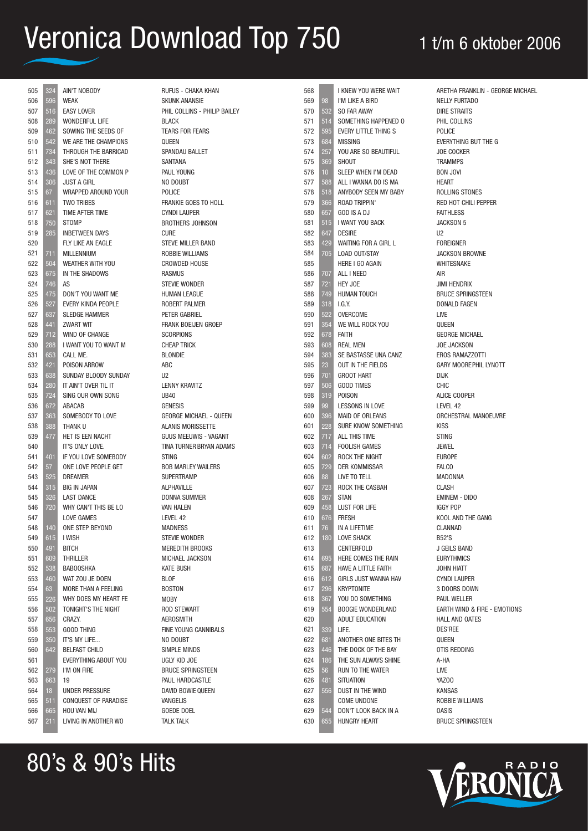| 505 | 324             | AIN'T NOBODY           |
|-----|-----------------|------------------------|
| 506 | 596             | <b>WEAK</b>            |
| 507 | 516             | <b>EASY LOVER</b>      |
| 508 | 289             | <b>WONDERFUL LIFE</b>  |
| 509 | 462             | SOWING THE SEEDS OF    |
| 510 | 542             | WE ARE THE CHAMPIONS   |
| 511 | 734             | THROUGH THE BARRICAD   |
| 512 | 343             | SHE'S NOT THERE        |
| 513 | 436             | LOVE OF THE COMMON P   |
| 514 | 306             | <b>JUST A GIRL</b>     |
| 515 | 67              | WRAPPED AROUND YOUR    |
| 516 | 611             | TWO TRIBES             |
| 517 | 621             | <b>TIME AFTER TIME</b> |
| 518 | 750             | <b>STOMP</b>           |
| 519 | 285             | <b>INBETWEEN DAYS</b>  |
| 520 |                 | FLY LIKE AN EAGLE      |
| 521 | 711             | <b>MILLENNIUM</b>      |
| 522 | 504             | WEATHER WITH YOU       |
|     |                 |                        |
| 523 | 675<br>746      | IN THE SHADOWS<br>AS   |
| 524 |                 |                        |
| 525 | 475             | DON'T YOU WANT ME      |
| 526 | 527             | EVERY KINDA PEOPLE     |
| 527 | 637             | <b>SLEDGE HAMMER</b>   |
| 528 | 441             | <b>ZWART WIT</b>       |
| 529 | 712             | WIND OF CHANGE         |
| 530 | 288             | I WANT YOU TO WANT M   |
| 531 | 653             | CALL ME.               |
| 532 | 421             | POISON ARROW           |
| 533 | 638             | SUNDAY BLOODY SUNDAY   |
| 534 | 280             | IT AIN'T OVER TIL IT   |
| 535 | 724             | SING OUR OWN SONG      |
| 536 | 672             | <b>ABACAB</b>          |
| 537 | 363             | SOMEBODY TO LOVE       |
| 538 | 388             | THANK U                |
| 539 | 477             | HET IS EEN NACHT       |
| 540 |                 | IT'S ONLY LOVE.        |
| 541 | 401             | IF YOU LOVE SOMEBODY   |
| 542 | 57              | ONE LOVE PEOPLE GET    |
| 543 | 525             | <b>DREAMER</b>         |
| 544 | 315             | <b>BIG IN JAPAN</b>    |
| 545 | 326             | <b>LAST DANCE</b>      |
| 546 | 720             | WHY CAN'T THIS BE LO   |
| 547 |                 | <b>LOVE GAMES</b>      |
| 548 | 140             | ONE STEP BEYOND        |
| 549 | 615             | I WISH                 |
| 550 | 491             | <b>BITCH</b>           |
| 551 | 609             | <b>THRILLER</b>        |
| 552 | 538             | <b>BABOOSHKA</b>       |
| 553 | 460             | WAT ZOU JE DOEN        |
| 554 | 63              | MORE THAN A FEELING    |
| 555 | 226             | WHY DOES MY HEART FE   |
| 556 | 502             | TONIGHT'S THE NIGHT    |
| 557 | 656             | CRAZY.                 |
| 558 | 553             | <b>GOOD THING</b>      |
| 559 | 350             | IT'S MY LIFE           |
| 560 | 642             | <b>BELFAST CHILD</b>   |
| 561 |                 | EVERYTHING ABOUT YOU   |
| 562 | 279             | I'M ON FIRE            |
| 563 | 663             | 19                     |
| 564 | $\overline{18}$ | <b>UNDER PRESSURE</b>  |
| 565 | 511             | CONQUEST OF PARADISE   |
| 566 |                 | HOU VAN MIJ            |
|     | 665             | LIVING IN ANOTHER WO   |
| 567 | 211             |                        |

80's & 90's Hits

| RUFUS - CHAKA KHAN                             |
|------------------------------------------------|
| <b>SKUNK ANANSIE</b>                           |
| PHIL COLLINS - PHILIP BAILEY                   |
| <b>BLACK</b>                                   |
| <b>TEARS FOR FEARS</b>                         |
| QUEEN                                          |
| SPANDAU BALLET                                 |
| SANTANA                                        |
| PAUL YOUNG                                     |
| NO DOUBT                                       |
| POLICE                                         |
| FRANKIE GOES TO HOLL                           |
| <b>CYNDI LAUPER</b>                            |
| <b>BROTHERS JOHNSON</b>                        |
| <b>CURE</b>                                    |
| <b>STEVE MILLER BAND</b>                       |
| <b>ROBBIE WILLIAMS</b>                         |
| <b>CROWDED HOUSE</b>                           |
| <b>RASMUS</b>                                  |
| <b>STEVIE WONDER</b>                           |
| <b>HUMAN LEAGUE</b>                            |
| ROBERT PALMER                                  |
| PETER GABRIEL                                  |
| <b>FRANK BOEIJEN GROEP</b><br><b>SCORPIONS</b> |
| <b>CHEAP TRICK</b>                             |
| <b>BLONDIE</b>                                 |
| <b>ABC</b>                                     |
| U <sub>2</sub>                                 |
| <b>LENNY KRAVITZ</b>                           |
| <b>UB40</b>                                    |
| <b>GENESIS</b>                                 |
| <b>GEORGE MICHAEL - QUEEN</b>                  |
| <b>ALANIS MORISSETTE</b>                       |
| GUUS MEEUWIS - VAGANT                          |
| TINA TURNER BRYAN ADAMS                        |
| <b>STING</b>                                   |
| <b>BOB MARLEY WAILERS</b>                      |
| <b>SUPERTRAMP</b>                              |
| <b>ALPHAVILLE</b>                              |
| <b>DONNA SUMMER</b>                            |
| <b>VAN HALEN</b>                               |
| LEVEL 42                                       |
| <b>MADNESS</b>                                 |
| <b>STEVIE WONDER</b>                           |
| <b>MEREDITH BROOKS</b>                         |
| MICHAEL JACKSON                                |
| <b>KATE BUSH</b>                               |
| <b>BLOF</b>                                    |
| <b>BOSTON</b>                                  |
| <b>MOBY</b>                                    |
| <b>ROD STEWART</b>                             |
| <b>AEROSMITH</b>                               |
| <b>FINE YOUNG CANNIBALS</b>                    |
| NO DOUBT                                       |
| <b>SIMPLE MINDS</b>                            |
| <b>UGLY KID JOE</b>                            |
| <b>BRUCE SPRINGSTEEN</b>                       |
| PAUL HARDCASTLE                                |
| DAVID BOWIE QUEEN                              |
| <b>VANGELIS</b>                                |
| <b>GOEDE DOEL</b>                              |
| <b>TALK TALK</b>                               |

| 568        |                  | I KNEW YOU WERE WAIT                         |
|------------|------------------|----------------------------------------------|
| 569        | 98               | I'M LIKE A BIRD                              |
| 570        | 532              | SO FAR AWAY                                  |
| 571        | 514              | SOMETHING HAPPENED O                         |
| 572        | 595              | EVERY LITTLE THING S                         |
| 573        | 684              | <b>MISSING</b>                               |
| 574        | 257              | YOU ARE SO BEAUTIFUL                         |
| 575        | 369              | SHOUT                                        |
| 576        | 10               | SLEEP WHEN I'M DEAD                          |
| 577        | 588              | ALL I WANNA DO IS MA                         |
| 578        | 518              | ANYBODY SEEN MY BABY                         |
| 579        | 366              | ROAD TRIPPIN'                                |
| 580        | 657              | GOD IS A DJ                                  |
| 581        | 515              | I WANT YOU BACK                              |
| 582        | 647              | <b>DESIRE</b>                                |
| 583        | 429              | WAITING FOR A GIRL L                         |
| 584        | 705              | LOAD OUT/STAY                                |
| 585        |                  | <b>HERE I GO AGAIN</b>                       |
| 586        | 707              | ALL I NEED                                   |
| 587        | 721              | HEY JOE                                      |
| 588        | 749              | <b>HUMAN TOUCH</b>                           |
| 589        | 318              | I.G.Y.                                       |
| 590        | 522              | <b>OVERCOME</b>                              |
| 591        | 354              | WE WILL ROCK YOU                             |
| 592        | 678              | Faith                                        |
| 593        | 608              | <b>REAL MEN</b>                              |
| 594<br>595 | 383              | SE BASTASSE UNA CANZ<br>OUT IN THE FIELDS    |
| 596        | 23<br>701        | <b>GROOT HART</b>                            |
| 597        | 506              | <b>GOOD TIMES</b>                            |
| 598        | $\overline{319}$ | POISON                                       |
| 599        | 99               | LESSONS IN LOVE                              |
| 600        | 396              | <b>MAID OF ORLEANS</b>                       |
| 601        | 228              | SURE KNOW SOMETHING                          |
| 602        | 717              | <b>ALL THIS TIME</b>                         |
| 603        | 714              | <b>FOOLISH GAMES</b>                         |
| 604        | 602              | ROCK THE NIGHT                               |
| 605        | 729              | <b>DER KOMMISSAR</b>                         |
| 606        | 88               | LIVE TO TELL                                 |
| 607        | 723              | ROCK THE CASBAH                              |
| 608        | 267              | STAN                                         |
| 609        | 458              | <b>LUST FOR LIFE</b>                         |
| 610        | 676              | FRESH                                        |
| 611        | 76               | IN A LIFETIME                                |
| 612        | 180              | <b>LOVE SHACK</b>                            |
| 613        |                  | <b>CENTERFOLD</b>                            |
| 614        | 695              | HERE COMES THE RAIN                          |
| 615        | 687              | HAVE A LITTLE FAITH                          |
| 616        | 612              | <b>GIRLS JUST WANNA HAV</b>                  |
| 617        | 296              | <b>KRYPTONITE</b>                            |
| 618<br>619 | 367              | YOU DO SOMETHING<br><b>BOOGIE WONDERLAND</b> |
| 620        | 554              | ADULT EDUCATION                              |
| 621        | 339              | LIFE.                                        |
| 622        | 681              | ANOTHER ONE BITES TH                         |
| 623        | 446              | THE DOCK OF THE BAY                          |
| 624        | 186              | THE SUN ALWAYS SHINE                         |
| 625        | 56               | <b>RUN TO THE WATER</b>                      |
| 626        | 481              | <b>SITUATION</b>                             |
| 627        | 556              | DUST IN THE WIND                             |
| 628        |                  | <b>COME UNDONE</b>                           |
| 629        | 544              | DON'T LOOK BACK IN A                         |
| 630        | 655              | <b>HUNGRY HEART</b>                          |
|            |                  |                                              |

ARETHA FRANKLIN - GEORGE MICHAEL NELLY FURTADO DIRE STRAITS PHIL COLLINS POLICE EVERYTHING BUT THE G JOE COCKER TRAMMPS BON JOVI HEART ROLLING STONES RED HOT CHILI PEPPER FAITHLESS JACKSON 5  $U<sub>2</sub>$ FOREIGNER JACKSON BROWNE WHITESNAKE AIR JIMI HENDRIX BRUCE SPRINGSTEEN DONALD FAGEN LIVE QUEEN GEORGE MICHAEL JOE JACKSON EROS RAMAZZOTTI GARY MOOREPHIL LYNOTT DIJK CHIC ALICE COOPER LEVEL 42 ORCHESTRAL MANOEUVRE KISS STING JEWEL EUROPE **FALCO** MADONNA CLASH EMINEM - DIDO IGGY POP KOOL AND THE GANG CLANNAD B52'S J GEILS BAND EURYTHMICS JOHN HIATT CYNDI LAUPER 3 DOORS DOWN PAUL WELLER EARTH WIND & FIRE - EMOTIONS HALL AND OATES DES'REE QUEEN OTIS REDDING A-HA LIVE YAZOO KANSAS ROBBIE WILLIAMS OASIS BRUCE SPRINGSTEEN